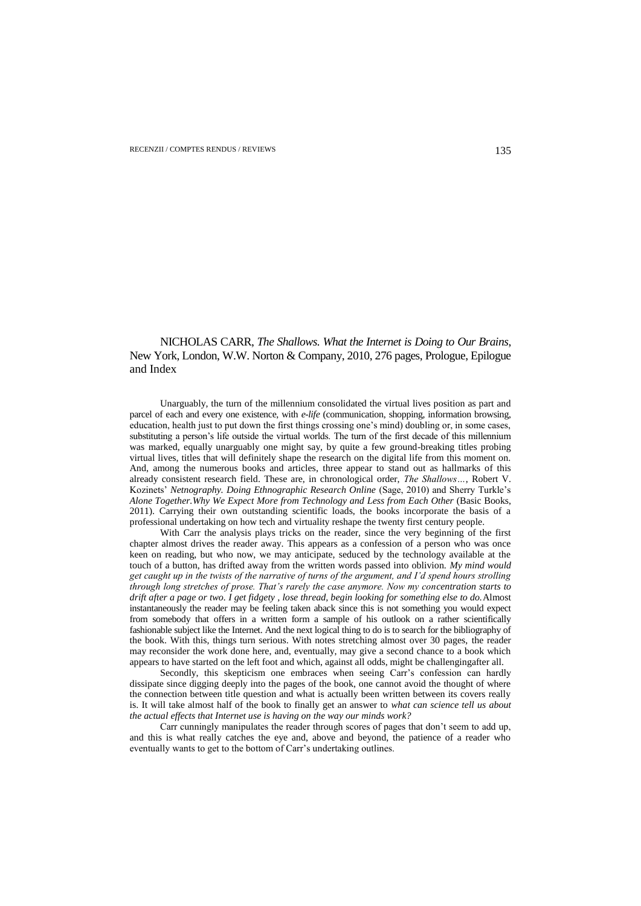NICHOLAS CARR, *The Shallows. What the Internet is Doing to Our Brains*, New York, London, W.W. Norton & Company, 2010, 276 pages, Prologue, Epilogue and Index

Unarguably, the turn of the millennium consolidated the virtual lives position as part and parcel of each and every one existence, with *e-life* (communication, shopping, information browsing, education, health just to put down the first things crossing one"s mind) doubling or, in some cases, substituting a person's life outside the virtual worlds. The turn of the first decade of this millennium was marked, equally unarguably one might say, by quite a few ground-breaking titles probing virtual lives, titles that will definitely shape the research on the digital life from this moment on. And, among the numerous books and articles, three appear to stand out as hallmarks of this already consistent research field. These are, in chronological order, *The Shallows…*, Robert V. Kozinets" *Netnography. Doing Ethnographic Research Online* (Sage, 2010) and Sherry Turkle"s *Alone Together.Why We Expect More from Technology and Less from Each Other* (Basic Books, 2011). Carrying their own outstanding scientific loads, the books incorporate the basis of a professional undertaking on how tech and virtuality reshape the twenty first century people.

With Carr the analysis plays tricks on the reader, since the very beginning of the first chapter almost drives the reader away. This appears as a confession of a person who was once keen on reading, but who now, we may anticipate, seduced by the technology available at the touch of a button, has drifted away from the written words passed into oblivion. *My mind would get caught up in the twists of the narrative of turns of the argument, and I"d spend hours strolling through long stretches of prose. That"s rarely the case anymore. Now my concentration starts to drift after a page or two. I get fidgety , lose thread, begin looking for something else to do.*Almost instantaneously the reader may be feeling taken aback since this is not something you would expect from somebody that offers in a written form a sample of his outlook on a rather scientifically fashionable subject like the Internet. And the next logical thing to do is to search for the bibliography of the book. With this, things turn serious. With notes stretching almost over 30 pages, the reader may reconsider the work done here, and, eventually, may give a second chance to a book which appears to have started on the left foot and which, against all odds, might be challengingafter all.

Secondly, this skepticism one embraces when seeing Carr"s confession can hardly dissipate since digging deeply into the pages of the book, one cannot avoid the thought of where the connection between title question and what is actually been written between its covers really is. It will take almost half of the book to finally get an answer to *what can science tell us about the actual effects that Internet use is having on the way our minds work?*

Carr cunningly manipulates the reader through scores of pages that don"t seem to add up, and this is what really catches the eye and, above and beyond, the patience of a reader who eventually wants to get to the bottom of Carr"s undertaking outlines.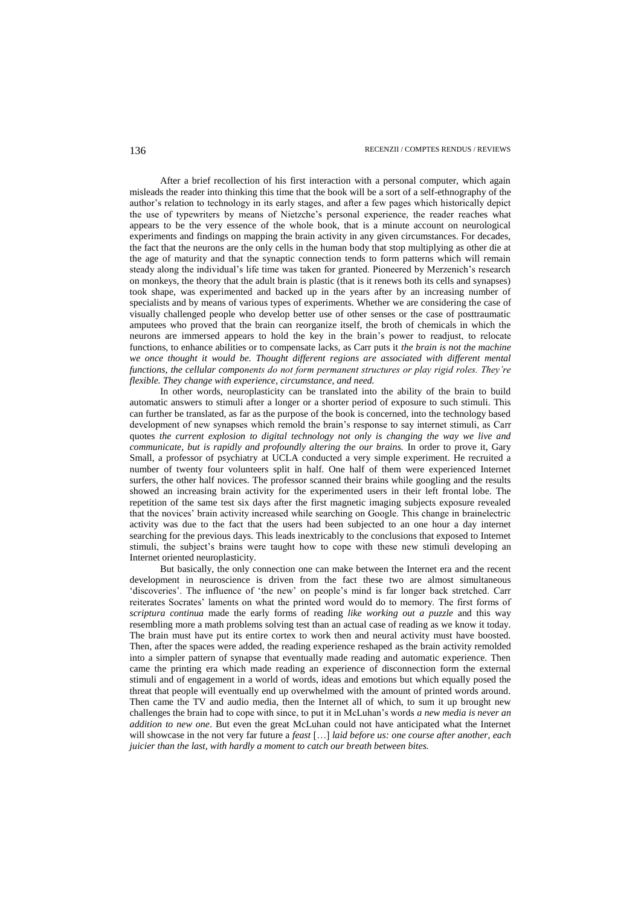After a brief recollection of his first interaction with a personal computer, which again misleads the reader into thinking this time that the book will be a sort of a self-ethnography of the author"s relation to technology in its early stages, and after a few pages which historically depict the use of typewriters by means of Nietzche"s personal experience, the reader reaches what appears to be the very essence of the whole book, that is a minute account on neurological experiments and findings on mapping the brain activity in any given circumstances. For decades, the fact that the neurons are the only cells in the human body that stop multiplying as other die at the age of maturity and that the synaptic connection tends to form patterns which will remain steady along the individual's life time was taken for granted. Pioneered by Merzenich's research on monkeys, the theory that the adult brain is plastic (that is it renews both its cells and synapses) took shape, was experimented and backed up in the years after by an increasing number of specialists and by means of various types of experiments. Whether we are considering the case of visually challenged people who develop better use of other senses or the case of posttraumatic amputees who proved that the brain can reorganize itself, the broth of chemicals in which the neurons are immersed appears to hold the key in the brain"s power to readjust, to relocate functions, to enhance abilities or to compensate lacks, as Carr puts it *the brain is not the machine we once thought it would be. Thought different regions are associated with different mental functions, the cellular components do not form permanent structures or play rigid roles. They"re flexible. They change with experience, circumstance, and need.* 

In other words, neuroplasticity can be translated into the ability of the brain to build automatic answers to stimuli after a longer or a shorter period of exposure to such stimuli. This can further be translated, as far as the purpose of the book is concerned, into the technology based development of new synapses which remold the brain"s response to say internet stimuli, as Carr quotes *the current explosion to digital technology not only is changing the way we live and communicate, but is rapidly and profoundly altering the our brains.* In order to prove it, Gary Small, a professor of psychiatry at UCLA conducted a very simple experiment. He recruited a number of twenty four volunteers split in half. One half of them were experienced Internet surfers, the other half novices. The professor scanned their brains while googling and the results showed an increasing brain activity for the experimented users in their left frontal lobe. The repetition of the same test six days after the first magnetic imaging subjects exposure revealed that the novices" brain activity increased while searching on Google. This change in brainelectric activity was due to the fact that the users had been subjected to an one hour a day internet searching for the previous days. This leads inextricably to the conclusions that exposed to Internet stimuli, the subject"s brains were taught how to cope with these new stimuli developing an Internet oriented neuroplasticity.

But basically, the only connection one can make between the Internet era and the recent development in neuroscience is driven from the fact these two are almost simultaneous 'discoveries'. The influence of 'the new' on people's mind is far longer back stretched. Carr reiterates Socrates" laments on what the printed word would do to memory. The first forms of *scriptura continua* made the early forms of reading *like working out a puzzle* and this way resembling more a math problems solving test than an actual case of reading as we know it today. The brain must have put its entire cortex to work then and neural activity must have boosted. Then, after the spaces were added, the reading experience reshaped as the brain activity remolded into a simpler pattern of synapse that eventually made reading and automatic experience. Then came the printing era which made reading an experience of disconnection form the external stimuli and of engagement in a world of words, ideas and emotions but which equally posed the threat that people will eventually end up overwhelmed with the amount of printed words around. Then came the TV and audio media, then the Internet all of which, to sum it up brought new challenges the brain had to cope with since, to put it in McLuhan"s words *a new media is never an addition to new one*. But even the great McLuhan could not have anticipated what the Internet will showcase in the not very far future a *feast* […] *laid before us: one course after another, each juicier than the last, with hardly a moment to catch our breath between bites.*